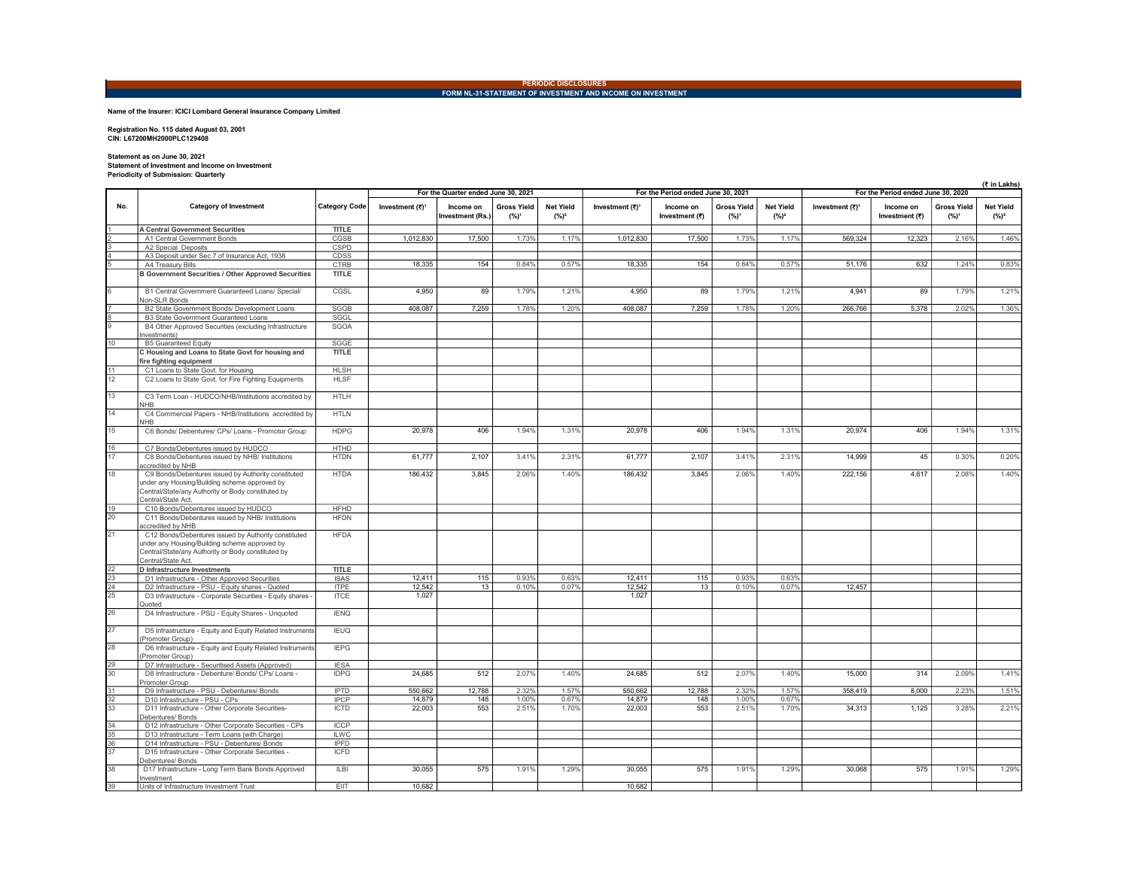## PERIODIC DISCLOSURES<br>FORM NL-31-STATEMENT OF INVESTMENT AND INCOME ON INVESTMENT

Name of the Insurer: ICICI Lombard General Insurance Company Limited

Registration No. 115 dated August 03, 2001 CIN: L67200MH2000PLC129408

## Statement as on June 30, 2021 Statement of Investment and Income on Investment Periodicity of Submission: Quarterly

|                                    |                                                                                                                          |                      |                                     |                               |                               |                             |                             |                                    |                               |                             |                                    |                             | (₹ in Lakhs)                  |                              |  |  |  |
|------------------------------------|--------------------------------------------------------------------------------------------------------------------------|----------------------|-------------------------------------|-------------------------------|-------------------------------|-----------------------------|-----------------------------|------------------------------------|-------------------------------|-----------------------------|------------------------------------|-----------------------------|-------------------------------|------------------------------|--|--|--|
|                                    |                                                                                                                          |                      | For the Quarter ended June 30, 2021 |                               |                               |                             |                             | For the Period ended June 30, 2021 |                               |                             | For the Period ended June 30, 2020 |                             |                               |                              |  |  |  |
| No.                                | <b>Category of Investment</b>                                                                                            | <b>Category Code</b> | Investment (₹) <sup>1</sup>         | Income on<br>Investment (Rs.) | <b>Gross Yield</b><br>$(%)^1$ | <b>Net Yield</b><br>$(%)^2$ | Investment (₹) <sup>1</sup> | Income on<br>Investment (₹)        | <b>Gross Yield</b><br>$(%)^1$ | <b>Net Yield</b><br>$(%)^2$ | Investment (₹) <sup>1</sup>        | Income on<br>Investment (₹) | <b>Gross Yield</b><br>$(%)^1$ | <b>Net Yield</b><br>$(\%)^2$ |  |  |  |
|                                    | <b>A Central Government Securities</b>                                                                                   | <b>TITLE</b>         |                                     |                               |                               |                             |                             |                                    |                               |                             |                                    |                             |                               |                              |  |  |  |
|                                    | A1 Central Government Bonds                                                                                              | CGSB                 | 1,012,830                           | 17,500                        | 1.73%                         | 1.17%                       | 1,012,830                   | 17,500                             | 1.73%                         | 1.17%                       | 569,324                            | 12,323                      | 2.16%                         | 1.46%                        |  |  |  |
|                                    | A2 Special Deposits                                                                                                      | CSPD                 |                                     |                               |                               |                             |                             |                                    |                               |                             |                                    |                             |                               |                              |  |  |  |
|                                    | A3 Deposit under Sec 7 of Insurance Act, 1938                                                                            | CDSS                 |                                     |                               |                               |                             |                             |                                    |                               |                             |                                    |                             |                               |                              |  |  |  |
|                                    | A4 Treasury Bills                                                                                                        | <b>CTRB</b>          | 18.335                              | 154                           | 0.84%                         | 0.57%                       | 18.335                      | 154                                | 0.84%                         | 0.57%                       | 51.176                             | 632                         | 1.24%                         | 0.83%                        |  |  |  |
|                                    | <b>B Government Securities / Other Approved Securities</b>                                                               | <b>TITLE</b>         |                                     |                               |                               |                             |                             |                                    |                               |                             |                                    |                             |                               |                              |  |  |  |
|                                    | B1 Central Government Guaranteed Loans/ Special/<br>Non-SLR Bonds                                                        | CGSL                 | 4.950                               | 89                            | 1.79%                         | 1.21%                       | 4.950                       | 89                                 | 1.79%                         | 1.21%                       | 4.941                              | 89                          | 1.79%                         | 1.21%                        |  |  |  |
|                                    | B2 State Government Bonds/ Development Loans                                                                             | SGGB                 | 408,087                             | 7,259                         | 1.78%                         | 1.20%                       | 408,087                     | 7,259                              | 1.78%                         | 1.20%                       | 266,766                            | 5,378                       | 2.02%                         | 1.36%                        |  |  |  |
|                                    | B3 State Government Guaranteed Loans                                                                                     | SGGL                 |                                     |                               |                               |                             |                             |                                    |                               |                             |                                    |                             |                               |                              |  |  |  |
|                                    | B4 Other Approved Securities (excluding Infrastructure<br>Investments)                                                   | <b>SGOA</b>          |                                     |                               |                               |                             |                             |                                    |                               |                             |                                    |                             |                               |                              |  |  |  |
| 10                                 | <b>B5 Guaranteed Equity</b>                                                                                              | SGGE                 |                                     |                               |                               |                             |                             |                                    |                               |                             |                                    |                             |                               |                              |  |  |  |
|                                    | C Housing and Loans to State Govt for housing and                                                                        | <b>TITLE</b>         |                                     |                               |                               |                             |                             |                                    |                               |                             |                                    |                             |                               |                              |  |  |  |
|                                    | fire fighting equipment                                                                                                  |                      |                                     |                               |                               |                             |                             |                                    |                               |                             |                                    |                             |                               |                              |  |  |  |
|                                    | C1 Loans to State Govt. for Housing                                                                                      | <b>HLSH</b>          |                                     |                               |                               |                             |                             |                                    |                               |                             |                                    |                             |                               |                              |  |  |  |
| $\frac{11}{12}$                    | C2 Loans to State Govt. for Fire Fighting Equipments                                                                     | <b>HLSF</b>          |                                     |                               |                               |                             |                             |                                    |                               |                             |                                    |                             |                               |                              |  |  |  |
| $\overline{13}$                    | C3 Term Loan - HUDCO/NHB/Institutions accredited by                                                                      | <b>HTLH</b>          |                                     |                               |                               |                             |                             |                                    |                               |                             |                                    |                             |                               |                              |  |  |  |
| 14                                 | <b>NHB</b><br>C4 Commercial Papers - NHB/Institutions accredited by                                                      | <b>HTLN</b>          |                                     |                               |                               |                             |                             |                                    |                               |                             |                                    |                             |                               |                              |  |  |  |
| 15                                 | <b>NHB</b>                                                                                                               | <b>HDPG</b>          |                                     |                               | 1.94%                         |                             |                             |                                    | 1.94%                         |                             |                                    | 406                         | 1.94%                         |                              |  |  |  |
|                                    | C6 Bonds/ Debentures/ CPs/ Loans - Promotor Group                                                                        |                      | 20,978                              | 406                           |                               | 1.31%                       | 20,978                      | 406                                |                               | 1.31%                       | 20,974                             |                             |                               | 1.31%                        |  |  |  |
| $\frac{16}{17}$                    | C7 Bonds/Debentures issued by HUDCO                                                                                      | <b>HTHD</b>          |                                     |                               |                               |                             |                             |                                    |                               |                             |                                    |                             |                               |                              |  |  |  |
|                                    | C8 Bonds/Debentures issued by NHB/ Institutions                                                                          | <b>HTDN</b>          | 61,777                              | 2,107                         | 3.41%                         | 2.31%                       | 61,777                      | 2,107                              | 3.41%                         | 2.31%                       | 14,999                             | 45                          | 0.30%                         | 0.20%                        |  |  |  |
| 18                                 | accredited by NHB<br>C9 Bonds/Debentures issued by Authority constituted                                                 | <b>HTDA</b>          | 186,432                             | 3,845                         | 2.06%                         | 1.40%                       | 186,432                     | 3,845                              | 2.06%                         | 1.40%                       | 222,156                            | 4,617                       | 2.08%                         | 1.40%                        |  |  |  |
|                                    | under any Housing/Building scheme approved by<br>Central/State/any Authority or Body constituted by<br>Central/State Act |                      |                                     |                               |                               |                             |                             |                                    |                               |                             |                                    |                             |                               |                              |  |  |  |
|                                    | C10 Bonds/Debentures issued by HUDCO                                                                                     | <b>HFHD</b>          |                                     |                               |                               |                             |                             |                                    |                               |                             |                                    |                             |                               |                              |  |  |  |
| $\frac{19}{20}$                    | C11 Bonds/Debentures issued by NHB/ Institutions                                                                         | <b>HFDN</b>          |                                     |                               |                               |                             |                             |                                    |                               |                             |                                    |                             |                               |                              |  |  |  |
| $\overline{21}$                    | accredited by NHB<br>C12 Bonds/Debentures issued by Authority constituted                                                | <b>HFDA</b>          |                                     |                               |                               |                             |                             |                                    |                               |                             |                                    |                             |                               |                              |  |  |  |
|                                    | under any Housing/Building scheme approved by<br>Central/State/any Authority or Body constituted by<br>Central/State Act |                      |                                     |                               |                               |                             |                             |                                    |                               |                             |                                    |                             |                               |                              |  |  |  |
|                                    | D Infrastructure Investments                                                                                             | <b>TITLE</b>         |                                     |                               |                               |                             |                             |                                    |                               |                             |                                    |                             |                               |                              |  |  |  |
| $\frac{22}{23}$<br>$\frac{23}{25}$ | D1 Infrastructure - Other Approved Securities                                                                            | <b>ISAS</b>          | 12.411                              | 115                           | 0.93%                         | 0.63%                       | 12.411                      | 115                                | 0.93%                         | 0.63%                       |                                    |                             |                               |                              |  |  |  |
|                                    | D2 Infrastructure - PSU - Equity shares - Quoted                                                                         | <b>ITPE</b>          | 12,542                              | 13                            | 0.10%                         | 0.07%                       | 12,542                      | 13                                 | 0.10%                         | 0.07%                       | 12,457                             |                             |                               |                              |  |  |  |
|                                    | D3 Infrastructure - Corporate Securities - Equity shares -<br>Quoted                                                     | <b>ITCE</b>          | 1,027                               |                               |                               |                             | 1,027                       |                                    |                               |                             |                                    |                             |                               |                              |  |  |  |
| $\overline{26}$                    | D4 Infrastructure - PSU - Equity Shares - Unquoted                                                                       | <b>IENQ</b>          |                                     |                               |                               |                             |                             |                                    |                               |                             |                                    |                             |                               |                              |  |  |  |
| 27                                 | D5 Infrastructure - Equity and Equity Related Instruments<br>(Promoter Group)                                            | <b>IEUQ</b>          |                                     |                               |                               |                             |                             |                                    |                               |                             |                                    |                             |                               |                              |  |  |  |
| $\overline{28}$                    | D6 Infrastructure - Equity and Equity Related Instruments<br>(Promoter Group)                                            | <b>IEPG</b>          |                                     |                               |                               |                             |                             |                                    |                               |                             |                                    |                             |                               |                              |  |  |  |
|                                    | D7 Infrastructure - Securitised Assets (Approved)                                                                        | <b>IESA</b>          |                                     |                               |                               |                             |                             |                                    |                               |                             |                                    |                             |                               |                              |  |  |  |
| $\frac{29}{30}$                    | D8 Infrastructure - Debenture/ Bonds/ CPs/ Loans -                                                                       | <b>IDPG</b>          | 24,685                              | 512                           | 2.07%                         | 1.40%                       | 24,685                      | 512                                | 2.07%                         | 1.40%                       | 15,000                             | 314                         | 2.09%                         | 1.41%                        |  |  |  |
|                                    | Promoter Group<br>D9 Infrastructure - PSU - Debentures/ Bonds                                                            | <b>IPTD</b>          | 550,662                             | 12,788                        | 2.32%                         | 1.57%                       | 550,662                     | 12,788                             | 2.32%                         | 1.57%                       | 358,419                            | 8,000                       | 2.23%                         | 1.51%                        |  |  |  |
|                                    | D10 Infrastructure - PSU - CPs                                                                                           | <b>IPCP</b>          | 14,879                              | 148                           | 1.00%                         | 0.67%                       | 14,879                      | 148                                | 1.00%                         | 0.67%                       |                                    |                             |                               |                              |  |  |  |
| $\frac{31}{32}$ $\frac{32}{33}$    | D11 Infrastructure - Other Corporate Securities-<br>Debentures/ Bonds                                                    | <b>ICTD</b>          | 22,003                              | 553                           | 2.51%                         | 1.70%                       | 22,003                      | 553                                | 2.51%                         | 1.70%                       | 34,313                             | 1,125                       | 3.28%                         | 2.21%                        |  |  |  |
|                                    | D12 Infrastructure - Other Corporate Securities - CPs                                                                    | <b>ICCP</b>          |                                     |                               |                               |                             |                             |                                    |                               |                             |                                    |                             |                               |                              |  |  |  |
| $\frac{34}{35}$<br>$\frac{36}{37}$ | D13 Infrastructure - Term Loans (with Charge)                                                                            | <b>ILWC</b>          |                                     |                               |                               |                             |                             |                                    |                               |                             |                                    |                             |                               |                              |  |  |  |
|                                    | D14 Infrastructure - PSU - Debentures/ Bonds                                                                             | <b>IPFD</b>          |                                     |                               |                               |                             |                             |                                    |                               |                             |                                    |                             |                               |                              |  |  |  |
|                                    | D15 Infrastructure - Other Corporate Securities -<br>Debentures/ Bonds                                                   | <b>ICFD</b>          |                                     |                               |                               |                             |                             |                                    |                               |                             |                                    |                             |                               |                              |  |  |  |
| 38                                 | D17 Infrastructure - Long Term Bank Bonds Approved<br>Investment                                                         | <b>ILBI</b>          | 30.055                              | 575                           | 1.91%                         | 1.29%                       | 30,055                      | 575                                | 1.91%                         | 1.29%                       | 30,068                             | 575                         | 1.91%                         | 1.29%                        |  |  |  |
| 39                                 | Units of Infrastructure Investment Trust                                                                                 | EIIT                 | 10,682                              |                               |                               |                             | 10,682                      |                                    |                               |                             |                                    |                             |                               |                              |  |  |  |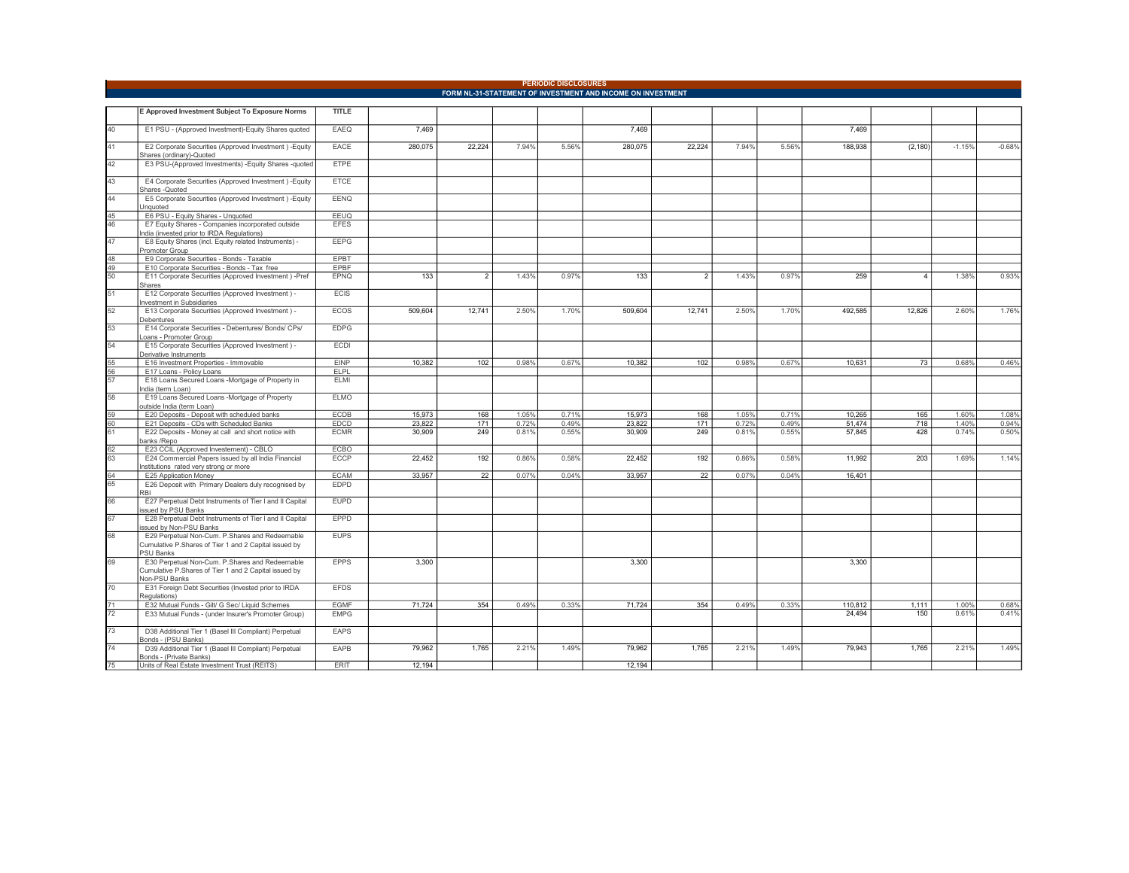|                                                             |                                                                                                         |              |         |        |       | <b>PERIODIC DISCLOSURES</b> |         |                |       |       |         |                |          |          |
|-------------------------------------------------------------|---------------------------------------------------------------------------------------------------------|--------------|---------|--------|-------|-----------------------------|---------|----------------|-------|-------|---------|----------------|----------|----------|
| FORM NL-31-STATEMENT OF INVESTMENT AND INCOME ON INVESTMENT |                                                                                                         |              |         |        |       |                             |         |                |       |       |         |                |          |          |
|                                                             | E Approved Investment Subject To Exposure Norms                                                         | <b>TITLE</b> |         |        |       |                             |         |                |       |       |         |                |          |          |
| 40 <sup>2</sup>                                             | E1 PSU - (Approved Investment)-Equity Shares quoted                                                     | EAEQ         | 7.469   |        |       |                             | 7,469   |                |       |       | 7,469   |                |          |          |
| 41                                                          | E2 Corporate Securities (Approved Investment) - Equity                                                  | EACE         | 280,075 | 22,224 | 7.94% | 5.56%                       | 280,075 | 22,224         | 7.94% | 5.56% | 188,938 | (2, 180)       | $-1.15%$ | $-0.68%$ |
| 42                                                          | Shares (ordinary)-Quoted<br>E3 PSU-(Approved Investments) -Equity Shares -quoted                        | ETPE         |         |        |       |                             |         |                |       |       |         |                |          |          |
| 43                                                          | E4 Corporate Securities (Approved Investment) - Equity                                                  | <b>ETCE</b>  |         |        |       |                             |         |                |       |       |         |                |          |          |
|                                                             | Shares -Quoted                                                                                          |              |         |        |       |                             |         |                |       |       |         |                |          |          |
| 44                                                          | E5 Corporate Securities (Approved Investment) - Equity<br>Jnquoted                                      | <b>EENQ</b>  |         |        |       |                             |         |                |       |       |         |                |          |          |
| 45                                                          | E6 PSU - Equity Shares - Unquoted                                                                       | EEUQ         |         |        |       |                             |         |                |       |       |         |                |          |          |
| 46                                                          | E7 Equity Shares - Companies incorporated outside<br>ndia (invested prior to IRDA Regulations)          | <b>EFES</b>  |         |        |       |                             |         |                |       |       |         |                |          |          |
| 47                                                          | E8 Equity Shares (incl. Equity related Instruments) -<br>Promoter Group                                 | <b>EEPG</b>  |         |        |       |                             |         |                |       |       |         |                |          |          |
| 48                                                          | E9 Corporate Securities - Bonds - Taxable                                                               | EPBT         |         |        |       |                             |         |                |       |       |         |                |          |          |
| 49                                                          | E10 Corporate Securities - Bonds - Tax free                                                             | EPBF         |         |        |       |                             |         |                |       |       |         |                |          |          |
| 50                                                          | E11 Corporate Securities (Approved Investment) -Pref<br>Shares                                          | EPNQ         | 133     | 2      | 1.43% | 0.97%                       | 133     | $\overline{2}$ | 1.43% | 0.97% | 259     | $\overline{4}$ | 1.38%    | 0.93%    |
| 51                                                          | E12 Corporate Securities (Approved Investment) -<br>nvestment in Subsidiaries                           | <b>ECIS</b>  |         |        |       |                             |         |                |       |       |         |                |          |          |
| 52                                                          | E13 Corporate Securities (Approved Investment) -<br>Debentures                                          | ECOS         | 509,604 | 12,741 | 2.50% | 1.70%                       | 509,604 | 12,741         | 2.50% | 1.70% | 492,585 | 12,826         | 2.60%    | 1.76%    |
| $\overline{53}$                                             | E14 Corporate Securities - Debentures/ Bonds/ CPs/<br>cans - Promoter Group                             | <b>EDPG</b>  |         |        |       |                             |         |                |       |       |         |                |          |          |
| 54                                                          | E15 Corporate Securities (Approved Investment) -<br>Derivative Instruments                              | ECDI         |         |        |       |                             |         |                |       |       |         |                |          |          |
| 55                                                          | E16 Investment Properties - Immovable                                                                   | <b>EINP</b>  | 10,382  | 102    | 0.98% | 0.67%                       | 10,382  | 102            | 0.98% | 0.67% | 10,631  | 73             | 0.68%    | 0.46%    |
| 56                                                          | E17 Loans - Policy Loans                                                                                | ELPL         |         |        |       |                             |         |                |       |       |         |                |          |          |
| 57                                                          | E18 Loans Secured Loans -Mortgage of Property in<br>ndia (term Loan)                                    | <b>ELMI</b>  |         |        |       |                             |         |                |       |       |         |                |          |          |
| 58                                                          | E19 Loans Secured Loans -Mortgage of Property<br>outside India (term Loan)                              | <b>ELMO</b>  |         |        |       |                             |         |                |       |       |         |                |          |          |
| 59                                                          | E20 Deposits - Deposit with scheduled banks                                                             | <b>ECDB</b>  | 15,973  | 168    | 1.05% | 0.71%                       | 15,973  | 168            | 1.05% | 0.71% | 10,265  | 165            | 1.60%    | 1.08%    |
| 60                                                          | E21 Deposits - CDs with Scheduled Banks                                                                 | EDCD         | 23,822  | 171    | 0.72% | 0.49%                       | 23,822  | 171            | 0.72% | 0.49% | 51,474  | 718            | 1.40%    | 0.94%    |
| 61                                                          | E22 Deposits - Money at call and short notice with<br>panks /Repo                                       | <b>ECMR</b>  | 30,909  | 249    | 0.81% | 0.55%                       | 30,909  | 249            | 0.81% | 0.55% | 57.845  | 428            | 0.74%    | 0.50%    |
| 62                                                          | E23 CCIL (Approved Investement) - CBLO                                                                  | ECBO         |         |        |       |                             |         |                |       |       |         |                |          |          |
| 63                                                          | E24 Commercial Papers issued by all India Financial<br>nstitutions rated very strong or more            | ECCP         | 22.452  | 192    | 0.86% | 0.58%                       | 22.452  | 192            | 0.86% | 0.58% | 11.992  | 203            | 1.69%    | 1.14%    |
| 64                                                          | E25 Application Money                                                                                   | <b>ECAM</b>  | 33,957  | 22     | 0.07% | 0.04%                       | 33,957  | 22             | 0.07% | 0.04% | 16,401  |                |          |          |
| 65                                                          | E26 Deposit with Primary Dealers duly recognised by<br><b>RBI</b>                                       | <b>EDPD</b>  |         |        |       |                             |         |                |       |       |         |                |          |          |
| 66                                                          | E27 Perpetual Debt Instruments of Tier I and II Capital<br>ssued by PSU Banks                           | <b>EUPD</b>  |         |        |       |                             |         |                |       |       |         |                |          |          |
| 67                                                          | E28 Perpetual Debt Instruments of Tier I and II Capital<br>ssued by Non-PSU Banks                       | EPPD         |         |        |       |                             |         |                |       |       |         |                |          |          |
| 68                                                          | E29 Perpetual Non-Cum. P.Shares and Redeemable<br>Cumulative P.Shares of Tier 1 and 2 Capital issued by | <b>EUPS</b>  |         |        |       |                             |         |                |       |       |         |                |          |          |
|                                                             | <b>PSU Banks</b>                                                                                        |              |         |        |       |                             |         |                |       |       |         |                |          |          |
| 69                                                          | E30 Perpetual Non-Cum. P.Shares and Redeemable<br>Cumulative P.Shares of Tier 1 and 2 Capital issued by | <b>EPPS</b>  | 3,300   |        |       |                             | 3,300   |                |       |       | 3,300   |                |          |          |
|                                                             | Non-PSU Banks                                                                                           |              |         |        |       |                             |         |                |       |       |         |                |          |          |
| 70                                                          | E31 Foreign Debt Securities (Invested prior to IRDA<br>Regulations)                                     | <b>EFDS</b>  |         |        |       |                             |         |                |       |       |         |                |          |          |
| 71                                                          | E32 Mutual Funds - Gilt/ G Sec/ Liquid Schemes                                                          | <b>EGMF</b>  | 71.724  | 354    | 0.49% | 0.33%                       | 71,724  | 354            | 0.49% | 0.33% | 110,812 | 1.111          | 1.00%    | 0.68%    |
| 72                                                          | E33 Mutual Funds - (under Insurer's Promoter Group)                                                     | <b>EMPG</b>  |         |        |       |                             |         |                |       |       | 24,494  | 150            | 0.61%    | 0.41%    |
| 73                                                          | D38 Additional Tier 1 (Basel III Compliant) Perpetual<br>Bonds - (PSU Banks)                            | EAPS         |         |        |       |                             |         |                |       |       |         |                |          |          |
| 74                                                          | D39 Additional Tier 1 (Basel III Compliant) Perpetual<br>Bonds - (Private Banks)                        | EAPB         | 79,962  | 1,765  | 2.21% | 1.49%                       | 79,962  | 1,765          | 2.21% | 1.49% | 79,943  | 1,765          | 2.21%    | 1.49%    |
| $\overline{75}$                                             | Units of Real Estate Investment Trust (REITS)                                                           | <b>ERIT</b>  | 12,194  |        |       |                             | 12,194  |                |       |       |         |                |          |          |